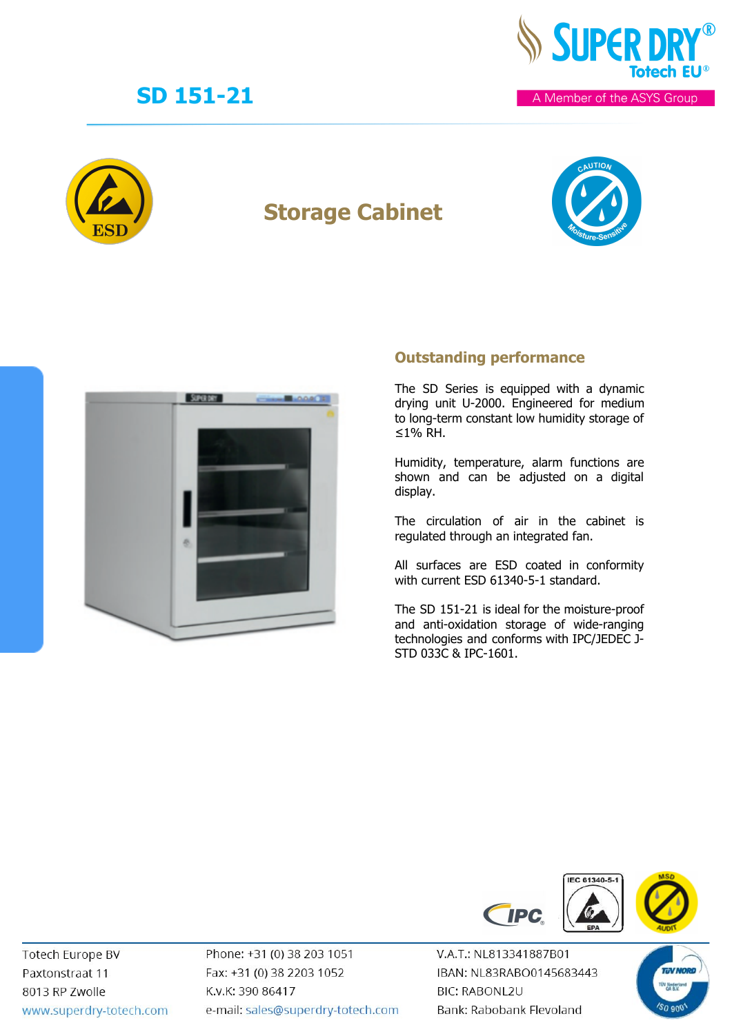

# **Storage Cabinet**





### **Outstanding performance**

The SD Series is equipped with a dynamic drying unit U-2000. Engineered for medium to long-term constant low humidity storage of ≤1% RH.

Humidity, temperature, alarm functions are shown and can be adjusted on a digital display.

The circulation of air in the cabinet is regulated through an integrated fan.

All surfaces are ESD coated in conformity with current ESD 61340-5-1 standard.

The SD 151-21 is ideal for the moisture-proof and anti-oxidation storage of wide-ranging technologies and conforms with IPC/JEDEC J-STD 033C & IPC-1601.



**Totech Europe BV** Paxtonstraat 11 8013 RP Zwolle www.superdry-totech.com Phone: +31 (0) 38 203 1051 Fax: +31 (0) 38 2203 1052 K.v.K: 390 86417 e-mail: sales@superdry-totech.com V.A.T.: NL813341887B01 IBAN: NL83RABO0145683443 **BIC: RABONL2U** Bank: Rabobank Flevoland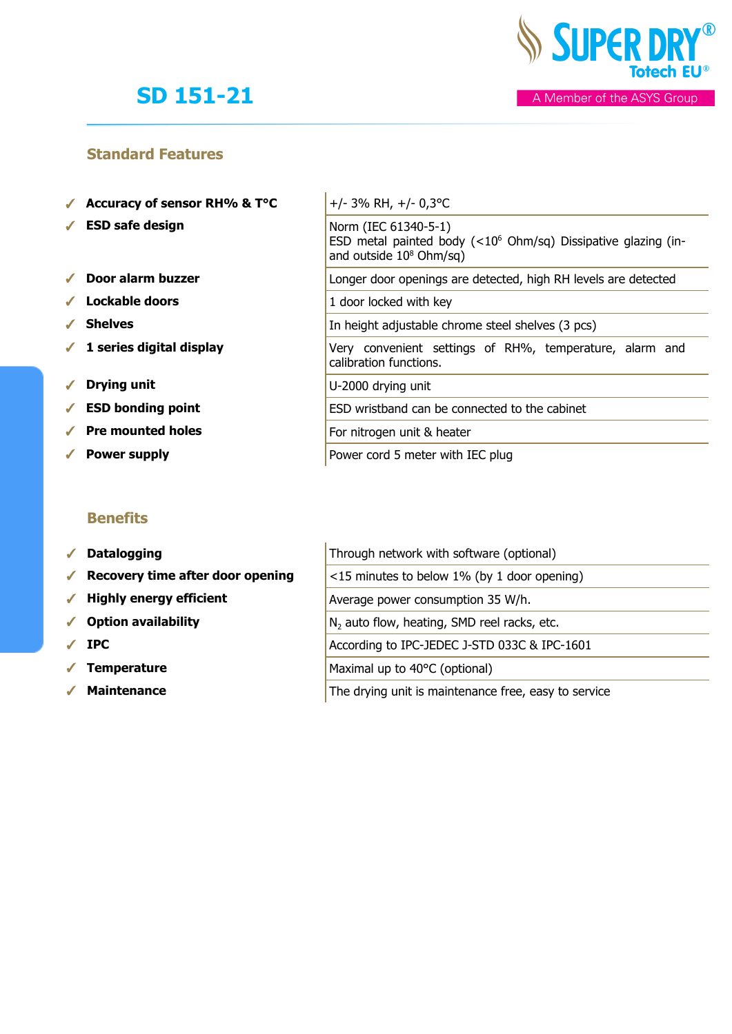

### **Standard Features**

- ✓ **Accuracy of sensor RH% & T°C** +/- 3% RH, +/- 0,3°C
- ✓ **ESD safe design** Norm (IEC 61340-5-1)
- ✔ **Door alarm buzzer**
- √ Lockable doors
- ✓ **Shelves** In height adjustable chrome steel shelves (3 pcs)
- ✔ 1 series digital display
- ✓ **Drying unit** U-2000 drying unit
- ✔ **ESD** bonding point
- ✓ **Pre mounted holes** For nitrogen unit & heater
- 

## **Benefits**

- √ Datalogging
- ◆ Recovery time after door opening
- ◆ Highly energy efficient
- √ Option availability
- 
- √ Temperature
- 

| ✔ Accuracy of sensor RH% & T°C        | +/- 3% RH, +/- 0,3 °C                                                                                                      |  |
|---------------------------------------|----------------------------------------------------------------------------------------------------------------------------|--|
| $\checkmark$ ESD safe design          | Norm (IEC 61340-5-1)<br>ESD metal painted body ( $<$ 10 $<$ Ohm/sq) Dissipative glazing (in-<br>and outside $10^8$ Ohm/sq) |  |
| $\checkmark$ Door alarm buzzer        | Longer door openings are detected, high RH levels are detected                                                             |  |
| ✓ Lockable doors                      | 1 door locked with key                                                                                                     |  |
| $\sqrt{\phantom{a}}$ Shelves          | In height adjustable chrome steel shelves (3 pcs)                                                                          |  |
| $\checkmark$ 1 series digital display | Very convenient settings of RH%, temperature, alarm and<br>calibration functions.                                          |  |
| $\sqrt{ }$ Drying unit                | U-2000 drying unit                                                                                                         |  |
| $\checkmark$ ESD bonding point        | ESD wristband can be connected to the cabinet                                                                              |  |
| $\checkmark$ Pre mounted holes        | For nitrogen unit & heater                                                                                                 |  |
| $\checkmark$ Power supply             | Power cord 5 meter with IEC plug                                                                                           |  |

| $\sqrt{\phantom{a}}$ Datalogging                      | Through network with software (optional)                |  |
|-------------------------------------------------------|---------------------------------------------------------|--|
| $\sqrt{\phantom{a}}$ Recovery time after door opening | $<15$ minutes to below 1% (by 1 door opening)           |  |
| $\checkmark$ Highly energy efficient                  | Average power consumption 35 W/h.                       |  |
| ✔ Option availability                                 | N <sub>2</sub> auto flow, heating, SMD reel racks, etc. |  |
| $\sqrt{P}$ IPC                                        | According to IPC-JEDEC J-STD 033C & IPC-1601            |  |
| $\checkmark$ Temperature                              | Maximal up to 40°C (optional)                           |  |
| <b><i>A</i></b> Matabasanan                           |                                                         |  |

**★ Maintenance** Nation The drying unit is maintenance free, easy to service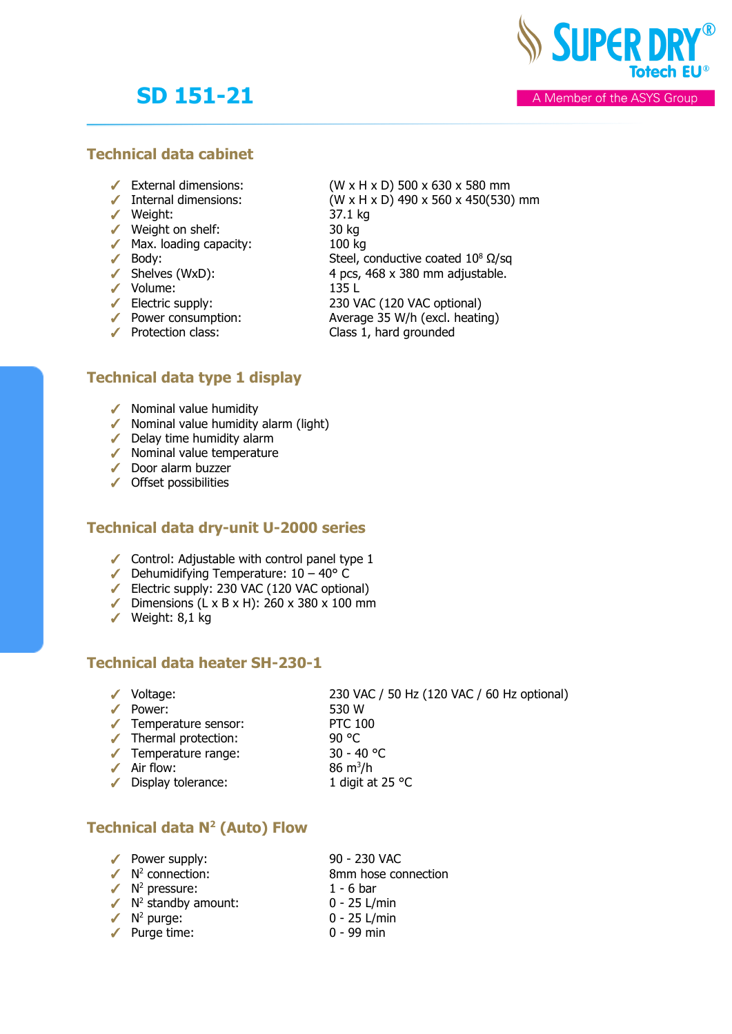

A Member of the ASYS Group

### **Technical data cabinet**

- 
- 
- ✓ Weight: 37.1 kg
- ✓ Weight on shelf: 30 kg
- ◆ Max. loading capacity: 100 kg
- 
- 
- 
- 
- → PCS,<br>
→ PCS,<br>
Volume: 135 L<br>
→ Electric supply: 230 V,<br>
→ Power consumption: Average
	-
	-
- **■** External dimensions:  $(W \times H \times D)$  500 x 630 x 580 mm<br>
 Internal dimensions:  $(W \times H \times D)$  490 x 560 x 450(530)  $(W \times H \times D)$  490 x 560 x 450(530) mm
	-
	-
	-

- -
- 
- 
- 

### **Technical data type 1 display**

- $\checkmark$  Nominal value humidity
- ✓ Nominal value humidity alarm (light)
- $\checkmark$  Delay time humidity alarm
- ✓ Nominal value temperature
- ✓ Door alarm buzzer
- ✓ Offset possibilities

### **Technical data dry-unit U-2000 series**

- $\checkmark$  Control: Adjustable with control panel type 1
- ✓ Dehumidifying Temperature: 10 40° C
- ✓ Electric supply: 230 VAC (120 VAC optional)
- ✓ Dimensions (L x B x H): 260 x 380 x 100 mm
- ✓ Weight: 8,1 kg

### **Technical data heater SH-230-1**

| $\checkmark$ Voltage:            | 230 VAC / 50 Hz (120 VAC / 60 Hz optional) |
|----------------------------------|--------------------------------------------|
| Power:                           | 530 W                                      |
| ✔ Temperature sensor:            | <b>PTC 100</b>                             |
| $\checkmark$ Thermal protection: | 90 °C                                      |
| $\checkmark$ Temperature range:  | $30 - 40 °C$                               |
| $\angle$ Air flow:               | $86 \text{ m}^3/h$                         |
| Display tolerance:               | 1 digit at 25 $^{\circ}$ C                 |
|                                  |                                            |

## **Technical data N<sup>2</sup> (Auto) Flow**

| $\sqrt{\phantom{a}}$ Power supply: | 90 - 230 VAC        |
|------------------------------------|---------------------|
| $\sqrt{N^2}$ connection:           | 8mm hose connection |
| $\sqrt{N^2}$ pressure:             | $1 - 6$ bar         |
| $\sqrt{N^2}$ standby amount:       | $0 - 25$ L/min      |
| $\sqrt{N^2}$ purge:                | $0 - 25$ L/min      |
| $\sqrt{\phantom{a}}$ Purge time:   | $0 - 99$ min        |

- $\sqrt{\phantom{a}}$  Body: Steel, conductive coated 10<sup>8</sup>  $\Omega$ /sq  $\checkmark$  Shelves (WxD): 4 pcs, 468 x 380 mm adjustable.
	-
	- 230 VAC (120 VAC optional)
	- Average 35 W/h (excl. heating)
- ✓ Protection class: Class 1, hard grounded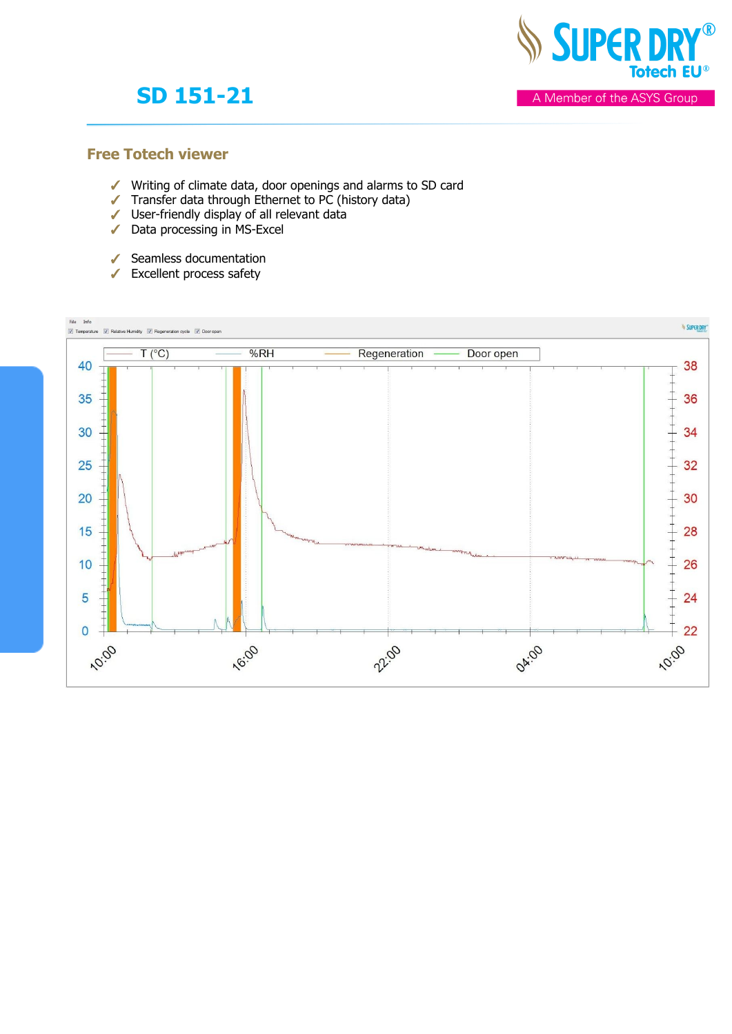

### **Free Totech viewer**

- ✓ Writing of climate data, door openings and alarms to SD card
- ✓ Transfer data through Ethernet to PC (history data)
- ✓ User-friendly display of all relevant data
- Data processing in MS-Excel
- ✓ Seamless documentation
- ✓ Excellent process safety

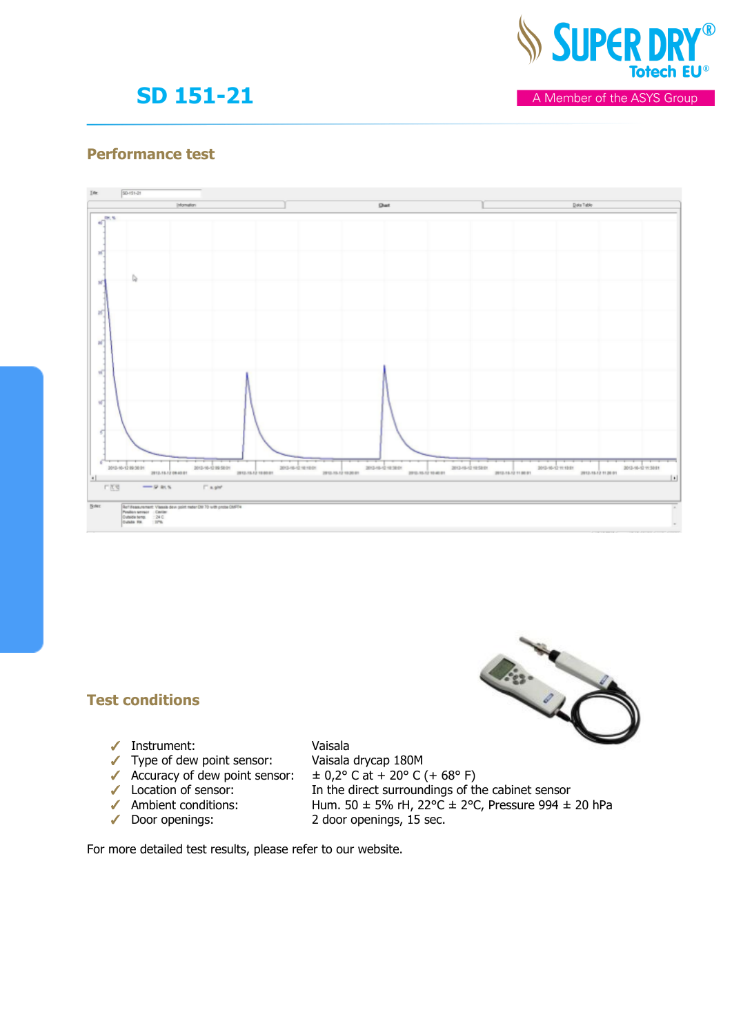

A Member of the ASYS Group

### **Performance test**



### **Test conditions**

✓ Instrument: Vaisala

- ✓ Type of dew point sensor: Vaisala drycap 180M
- 
- 
- 
- 

✓ Accuracy of dew point sensor: ± 0,2° C at + 20° C (+ 68° F) ◯ Location of sensor: In the direct surroundings of the cabinet sensor  $\bigcirc$  Ambient conditions: Hum. 50 ± 5% rH, 22°C ± 2°C, Pressure 994 ± ◆ Ambient conditions: Hum. 50 ± 5% rH, 22°C ± 2°C, Pressure 994 ± 20 hPa<br>◆ Door openings: 2 door openings, 15 sec.

2 door openings, 15 sec.

For more detailed test results, please refer to our website.

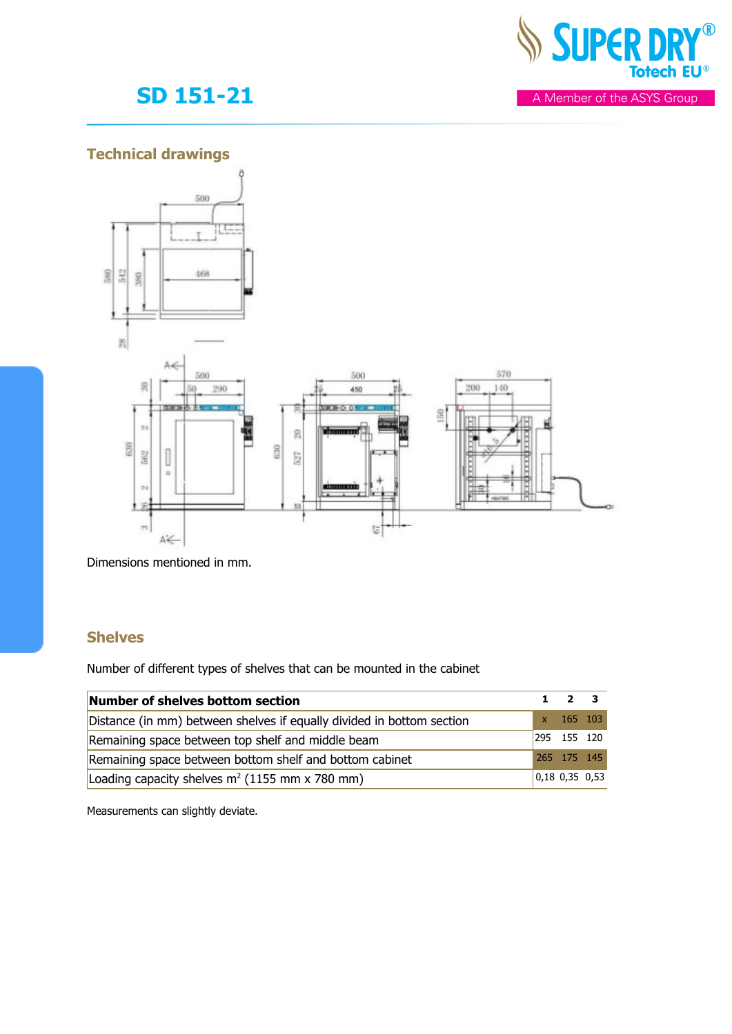

## **Technical drawings**



Dimensions mentioned in mm.

### **Shelves**

Number of different types of shelves that can be mounted in the cabinet

| Number of shelves bottom section                                      |  |             | $1 \quad 2 \quad 3$ |
|-----------------------------------------------------------------------|--|-------------|---------------------|
| Distance (in mm) between shelves if equally divided in bottom section |  | x 165 103   |                     |
| Remaining space between top shelf and middle beam                     |  | 295 155 120 |                     |
| Remaining space between bottom shelf and bottom cabinet               |  |             | 265 175 145         |
| Loading capacity shelves $m^2$ (1155 mm x 780 mm)                     |  |             | $0,18$ 0,35 0,53    |

Measurements can slightly deviate.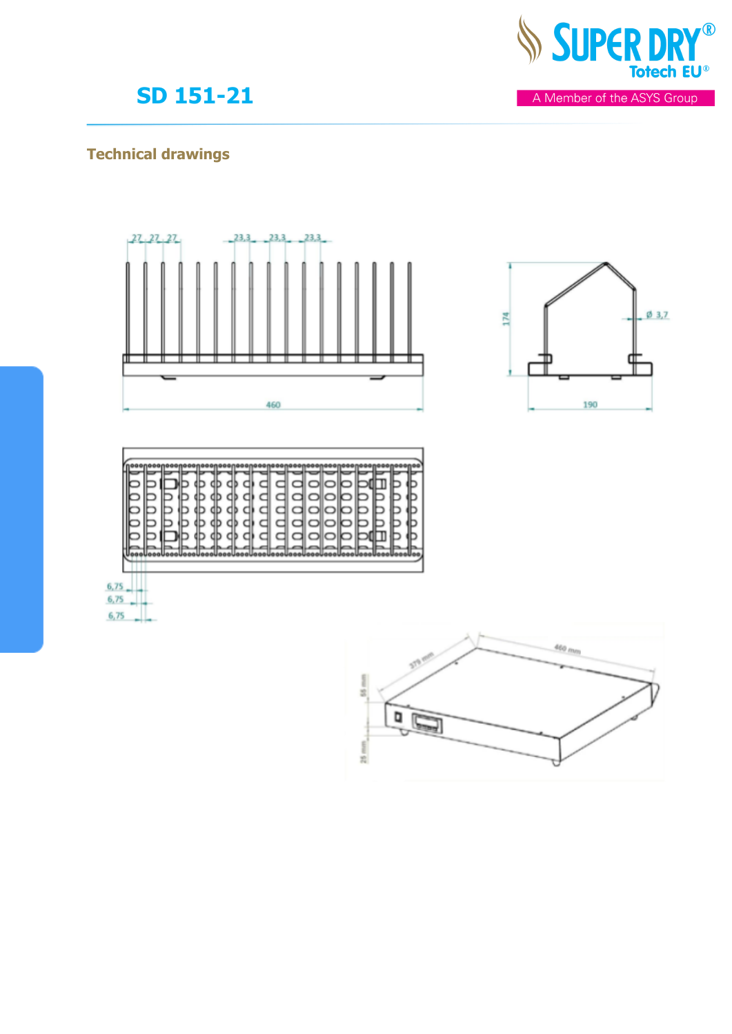

## **Technical drawings**













A Member of the ASYS Group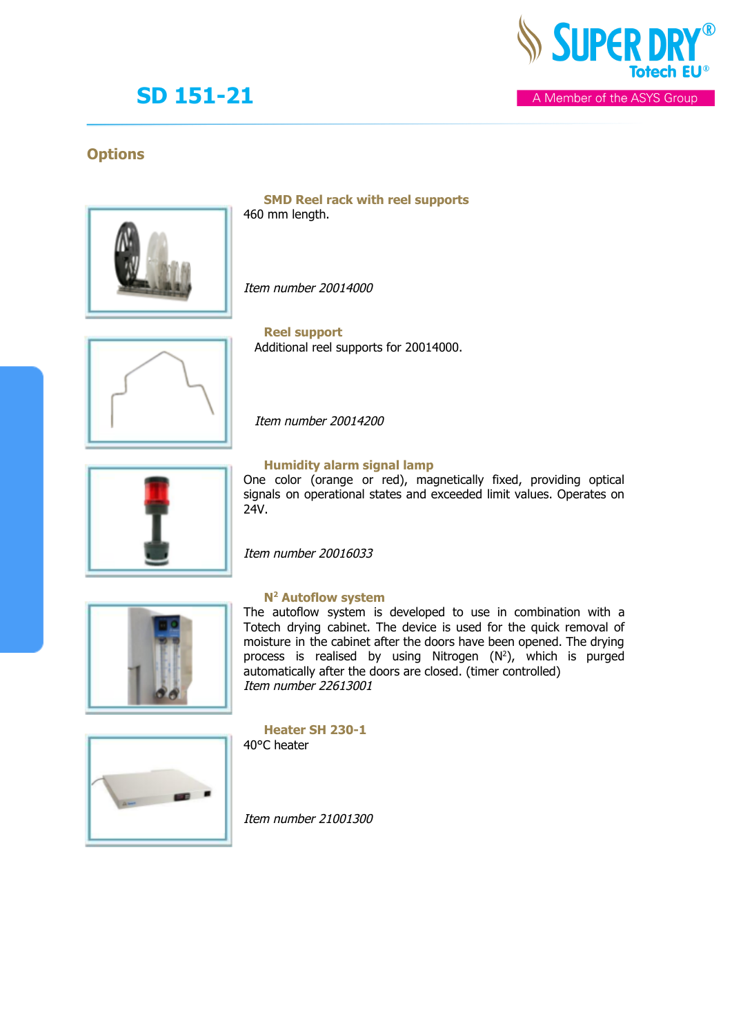

A Member of the ASYS Group

## **Options**



**SMD Reel rack with reel supports** 460 mm length.

Item number 20014000

**Reel support**



Additional reel supports for 20014000.

### **Humidity alarm signal lamp**

Item number 20014200

One color (orange or red), magnetically fixed, providing optical signals on operational states and exceeded limit values. Operates on 24V.

Item number 20016033



### **N2 Autoflow system**

The autoflow system is developed to use in combination with a Totech drying cabinet. The device is used for the quick removal of moisture in the cabinet after the doors have been opened. The drying process is realised by using Nitrogen (N 2), which is purged automatically after the doors are closed. (timer controlled) Item number 22613001



**Heater SH 230-1** 40°C heater

Item number 21001300